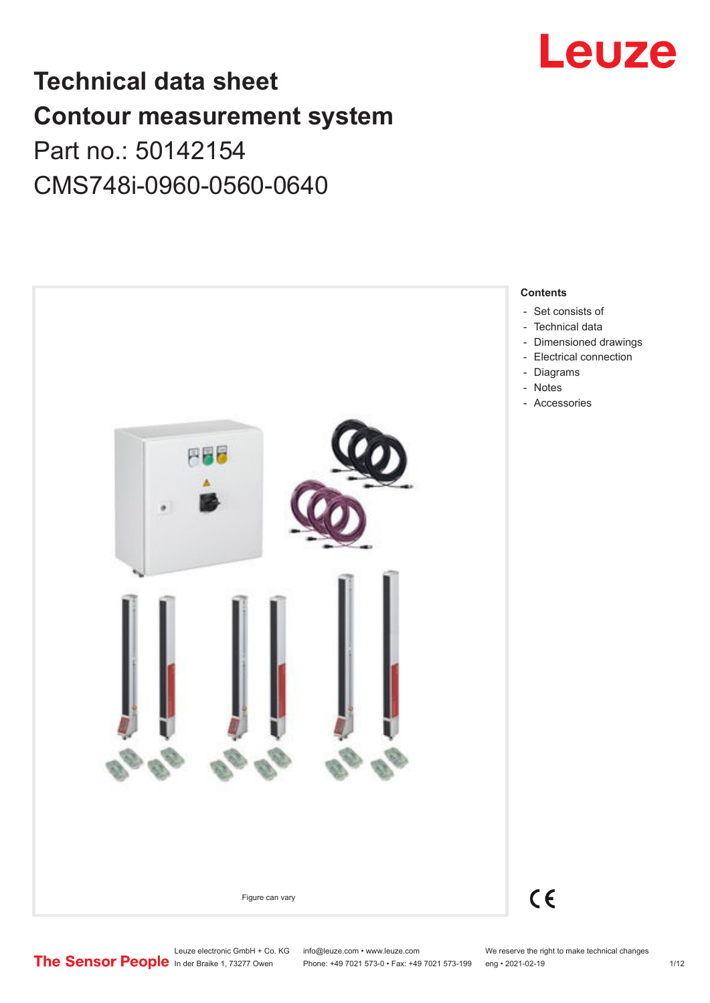

# **Technical data sheet Contour measurement system** Part no.: 50142154 CMS748i-0960-0560-0640



Leuze electronic GmbH + Co. KG info@leuze.com • www.leuze.com We reserve the right to make technical changes<br> **The Sensor People** in der Braike 1, 73277 Owen Phone: +49 7021 573-0 • Fax: +49 7021 573-199 eng • 2021-02-19

Phone: +49 7021 573-0 • Fax: +49 7021 573-199 eng • 2021-02-19 1/12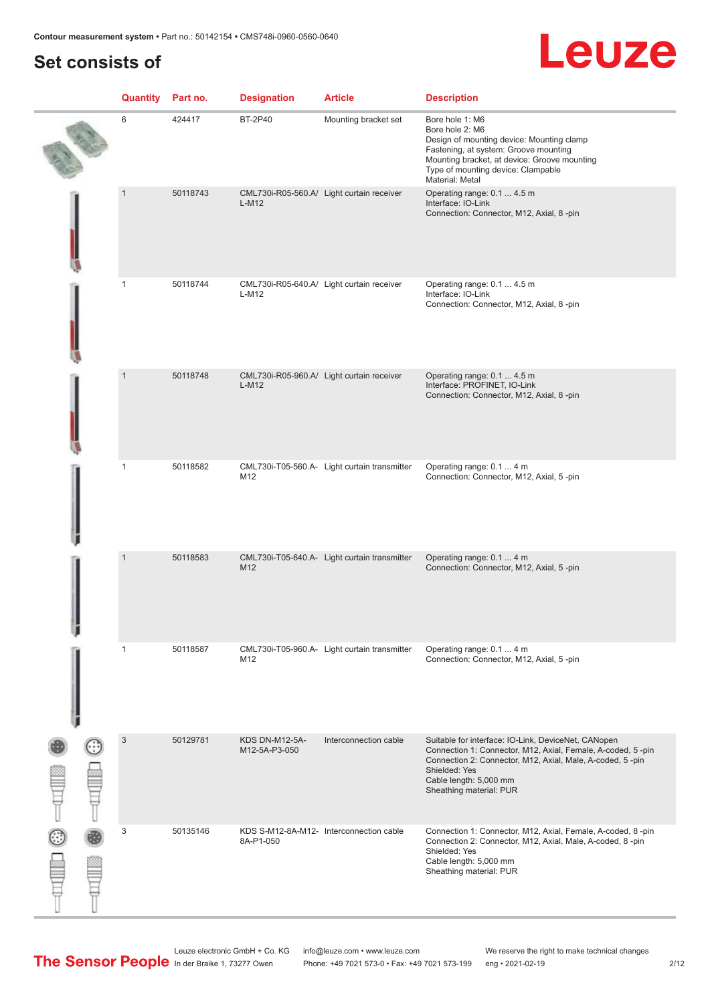# **Set consists of**

# Leuze

|               | <b>Quantity</b> Part no. |          | <b>Designation</b>              | <b>Article</b>                               | <b>Description</b>                                                                                                                                                                                                                                    |
|---------------|--------------------------|----------|---------------------------------|----------------------------------------------|-------------------------------------------------------------------------------------------------------------------------------------------------------------------------------------------------------------------------------------------------------|
|               | 6                        | 424417   | <b>BT-2P40</b>                  | Mounting bracket set                         | Bore hole 1: M6<br>Bore hole 2: M6<br>Design of mounting device: Mounting clamp<br>Fastening, at system: Groove mounting<br>Mounting bracket, at device: Groove mounting<br>Type of mounting device: Clampable<br>Material: Metal                     |
|               | $\overline{1}$           | 50118743 | $L-M12$                         | CML730i-R05-560.A/ Light curtain receiver    | Operating range: 0.1  4.5 m<br>Interface: IO-Link<br>Connection: Connector, M12, Axial, 8-pin                                                                                                                                                         |
|               | $\mathbf{1}$             | 50118744 | L-M12                           | CML730i-R05-640.A/ Light curtain receiver    | Operating range: 0.1  4.5 m<br>Interface: IO-Link<br>Connection: Connector, M12, Axial, 8-pin                                                                                                                                                         |
|               | $\mathbf{1}$             | 50118748 | $L-M12$                         | CML730i-R05-960.A/ Light curtain receiver    | Operating range: 0.1  4.5 m<br>Interface: PROFINET, IO-Link<br>Connection: Connector, M12, Axial, 8-pin                                                                                                                                               |
|               | $\mathbf{1}$             | 50118582 | M12                             | CML730i-T05-560.A- Light curtain transmitter | Operating range: 0.1  4 m<br>Connection: Connector, M12, Axial, 5-pin                                                                                                                                                                                 |
|               | $\overline{1}$           | 50118583 | M12                             | CML730i-T05-640.A- Light curtain transmitter | Operating range: 0.1  4 m<br>Connection: Connector, M12, Axial, 5-pin                                                                                                                                                                                 |
|               | 1                        | 50118587 | M12                             | CML730i-T05-960.A- Light curtain transmitter | Operating range: 0.1  4 m<br>Connection: Connector, M12, Axial, 5-pin                                                                                                                                                                                 |
| $\frac{1}{2}$ | $\mathbf{3}$             | 50129781 | KDS DN-M12-5A-<br>M12-5A-P3-050 | Interconnection cable                        | Suitable for interface: IO-Link, DeviceNet, CANopen<br>Connection 1: Connector, M12, Axial, Female, A-coded, 5-pin<br>Connection 2: Connector, M12, Axial, Male, A-coded, 5-pin<br>Shielded: Yes<br>Cable length: 5,000 mm<br>Sheathing material: PUR |
|               | 3                        | 50135146 | 8A-P1-050                       | KDS S-M12-8A-M12- Interconnection cable      | Connection 1: Connector, M12, Axial, Female, A-coded, 8-pin<br>Connection 2: Connector, M12, Axial, Male, A-coded, 8-pin<br>Shielded: Yes<br>Cable length: 5,000 mm<br>Sheathing material: PUR                                                        |

Leuze electronic GmbH + Co. KG info@leuze.com • www.leuze.com We reserve the right to make technical changes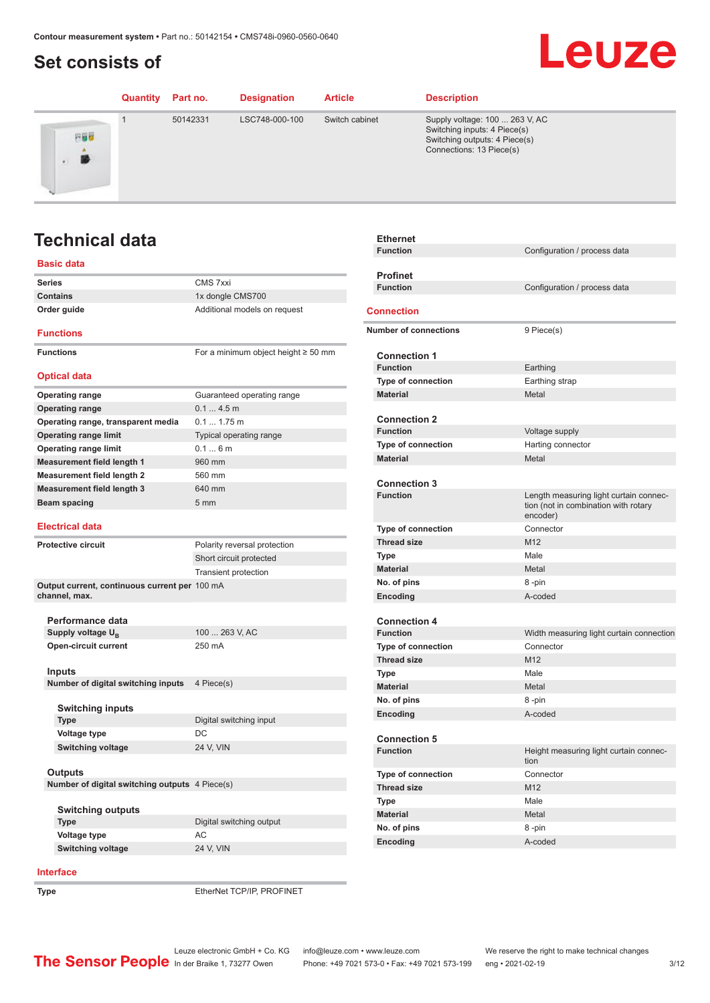# <span id="page-2-0"></span>**Set consists of**

### Leuze **Quantity Part no. Designation Article Description** 1 50142331 LSC748-000-100 Switch cabinet Supply voltage: 100 ... 263 V, AC Switching inputs: 4 Piece(s) 円器器 Switching outputs: 4 Piece(s) Connections: 13 Piece(s) 勝

# **Technical data**

### **Basic data**

| <b>Series</b>                                                  | CMS 7xxi                                 |
|----------------------------------------------------------------|------------------------------------------|
| <b>Contains</b>                                                | 1x dongle CMS700                         |
| Order guide                                                    | Additional models on request             |
| <b>Functions</b>                                               |                                          |
| <b>Functions</b>                                               | For a minimum object height $\geq 50$ mm |
| <b>Optical data</b>                                            |                                          |
| <b>Operating range</b>                                         | Guaranteed operating range               |
| <b>Operating range</b>                                         | 0.14.5m                                  |
| Operating range, transparent media                             | 0.1 1.75 m                               |
| <b>Operating range limit</b>                                   | Typical operating range                  |
| <b>Operating range limit</b>                                   | 0.16m                                    |
| <b>Measurement field length 1</b>                              | 960 mm                                   |
| <b>Measurement field length 2</b>                              | 560 mm                                   |
| <b>Measurement field length 3</b>                              | 640 mm                                   |
| Beam spacing                                                   | 5 mm                                     |
|                                                                |                                          |
| <b>Electrical data</b>                                         |                                          |
| <b>Protective circuit</b>                                      | Polarity reversal protection             |
|                                                                | Short circuit protected                  |
|                                                                | <b>Transient protection</b>              |
| Output current, continuous current per 100 mA<br>channel, max. |                                          |
|                                                                |                                          |
| Performance data                                               |                                          |
| Supply voltage U <sub>R</sub>                                  | 100  263 V, AC                           |
| <b>Open-circuit current</b>                                    | 250 mA                                   |
| Inputs                                                         |                                          |
| Number of digital switching inputs                             | 4 Piece(s)                               |
|                                                                |                                          |
| <b>Switching inputs</b>                                        |                                          |
| <b>Type</b>                                                    | Digital switching input                  |
| Voltage type                                                   | DC                                       |
| <b>Switching voltage</b>                                       | 24 V, VIN                                |
|                                                                |                                          |
| Outputs                                                        |                                          |
| Number of digital switching outputs 4 Piece(s)                 |                                          |
|                                                                |                                          |
| <b>Switching outputs</b>                                       |                                          |
| <b>Type</b>                                                    | Digital switching output                 |
| Voltage type                                                   | AC                                       |
| <b>Switching voltage</b>                                       | 24 V, VIN                                |
|                                                                |                                          |

| <b>Ethernet</b>              |                                                                                            |
|------------------------------|--------------------------------------------------------------------------------------------|
| <b>Function</b>              | Configuration / process data                                                               |
|                              |                                                                                            |
| <b>Profinet</b>              |                                                                                            |
| <b>Function</b>              | Configuration / process data                                                               |
| Connection                   |                                                                                            |
| <b>Number of connections</b> | 9 Piece(s)                                                                                 |
|                              |                                                                                            |
| <b>Connection 1</b>          |                                                                                            |
| <b>Function</b>              | Earthing                                                                                   |
| <b>Type of connection</b>    | Earthing strap                                                                             |
| <b>Material</b>              | Metal                                                                                      |
| <b>Connection 2</b>          |                                                                                            |
| <b>Function</b>              | Voltage supply                                                                             |
| Type of connection           | Harting connector                                                                          |
| <b>Material</b>              | Metal                                                                                      |
|                              |                                                                                            |
| <b>Connection 3</b>          |                                                                                            |
| <b>Function</b>              | Length measuring light curtain connec-<br>tion (not in combination with rotary<br>encoder) |
| Type of connection           | Connector                                                                                  |
| <b>Thread size</b>           | M12                                                                                        |
| Type                         | Male                                                                                       |
| <b>Material</b>              | Metal                                                                                      |
| No. of pins                  | 8-pin                                                                                      |
| Encoding                     | A-coded                                                                                    |
| <b>Connection 4</b>          |                                                                                            |
| <b>Function</b>              | Width measuring light curtain connection                                                   |
| <b>Type of connection</b>    | Connector                                                                                  |
| <b>Thread size</b>           | M12                                                                                        |
| Type                         | Male                                                                                       |
| <b>Material</b>              | Metal                                                                                      |
| No. of pins                  | 8-pin                                                                                      |
| Encoding                     | A-coded                                                                                    |
|                              |                                                                                            |
| <b>Connection 5</b>          |                                                                                            |
| <b>Function</b>              | Height measuring light curtain connec-<br>tion                                             |
| Type of connection           | Connector                                                                                  |
| <b>Thread size</b>           | M12                                                                                        |
| Type                         | Male                                                                                       |
| <b>Material</b>              | Metal                                                                                      |
| No. of pins                  | 8-pin                                                                                      |
| Encoding                     | A-coded                                                                                    |
|                              |                                                                                            |

#### **Interface**

**Type** EtherNet TCP/IP, PROFINET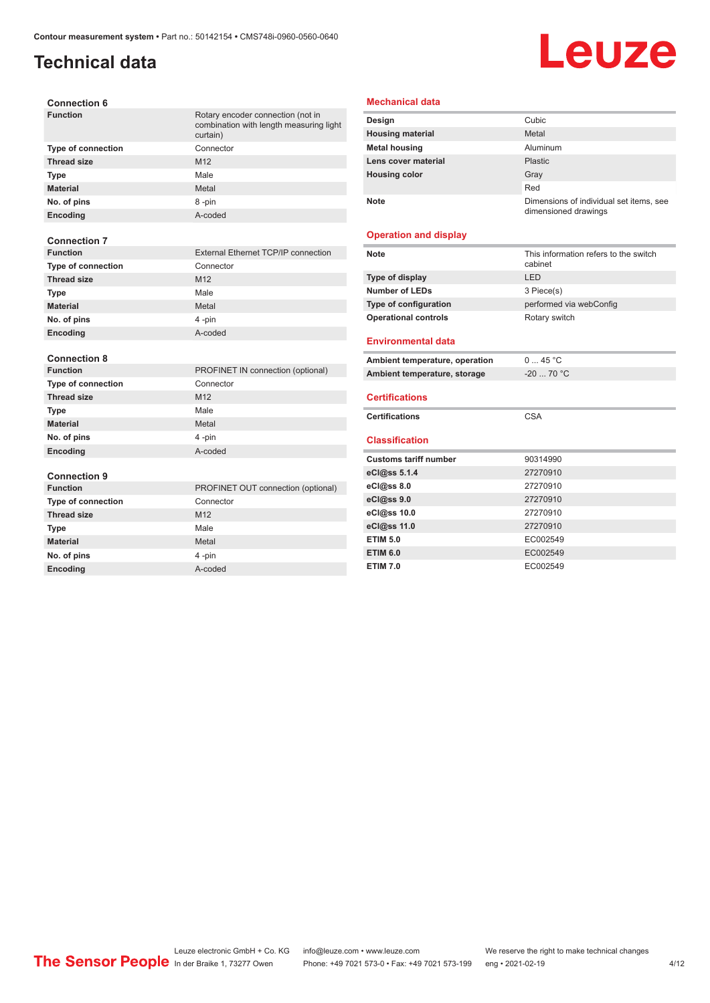## **Technical data**

# Leuze

| <b>Connection 6</b> |  |
|---------------------|--|
|---------------------|--|

| <b>Function</b>           | Rotary encoder connection (not in<br>combination with length measuring light<br>curtain) |
|---------------------------|------------------------------------------------------------------------------------------|
| <b>Type of connection</b> | Connector                                                                                |
| <b>Thread size</b>        | M <sub>12</sub>                                                                          |
| <b>Type</b>               | Male                                                                                     |
| <b>Material</b>           | Metal                                                                                    |
| No. of pins               | 8-pin                                                                                    |
| Encoding                  | A-coded                                                                                  |
|                           |                                                                                          |
| <b>Connection 7</b>       |                                                                                          |
| <b>Function</b>           | External Ethernet TCP/IP connection                                                      |
| <b>Type of connection</b> | Connector                                                                                |
| <b>Thread size</b>        | M <sub>12</sub>                                                                          |
| Type                      | Male                                                                                     |
| <b>Material</b>           | Metal                                                                                    |
| No. of pins               | 4-pin                                                                                    |
| Encoding                  | A-coded                                                                                  |
|                           |                                                                                          |
| <b>Connection 8</b>       |                                                                                          |
| <b>Function</b>           | PROFINET IN connection (optional)                                                        |
| <b>Type of connection</b> | Connector                                                                                |
| <b>Thread size</b>        | M <sub>12</sub>                                                                          |
| <b>Type</b>               | Male                                                                                     |
| <b>Material</b>           | Metal                                                                                    |
| No. of pins               | 4-pin                                                                                    |
| Encoding                  | A-coded                                                                                  |
|                           |                                                                                          |
| <b>Connection 9</b>       |                                                                                          |
| <b>Function</b>           | PROFINET OUT connection (optional)                                                       |
| <b>Type of connection</b> | Connector                                                                                |
| <b>Thread size</b>        | M12                                                                                      |
| <b>Type</b>               | Male                                                                                     |
| <b>Material</b>           | Metal                                                                                    |
| No. of pins               | 4-pin                                                                                    |

**Encoding** A-coded

#### **Mechanical data**

| Design                  | Cubic                                                           |
|-------------------------|-----------------------------------------------------------------|
| <b>Housing material</b> | Metal                                                           |
| <b>Metal housing</b>    | Aluminum                                                        |
| Lens cover material     | Plastic                                                         |
| <b>Housing color</b>    | Gray                                                            |
|                         | Red                                                             |
| <b>Note</b>             | Dimensions of individual set items, see<br>dimensioned drawings |

#### **Operation and display**

| <b>Note</b>                    | This information refers to the switch<br>cabinet |
|--------------------------------|--------------------------------------------------|
| Type of display                | LED                                              |
| Number of LEDs                 | 3 Piece(s)                                       |
| Type of configuration          | performed via webConfig                          |
| <b>Operational controls</b>    | Rotary switch                                    |
| <b>Environmental data</b>      |                                                  |
| Ambient temperature, operation | 045 °C                                           |
| Ambient temperature, storage   | $-20$ 70 °C                                      |
| <b>Certifications</b>          |                                                  |
| <b>Certifications</b>          | <b>CSA</b>                                       |
|                                |                                                  |
| <b>Classification</b>          |                                                  |
| <b>Customs tariff number</b>   | 90314990                                         |
| eCl@ss 5.1.4                   | 27270910                                         |
| eCl@ss 8.0                     | 27270910                                         |
| eCl@ss 9.0                     | 27270910                                         |
| eCl@ss 10.0                    | 27270910                                         |
| eCl@ss 11.0                    | 27270910                                         |
| <b>ETIM 5.0</b>                | EC002549                                         |
| <b>ETIM 6.0</b>                | EC002549                                         |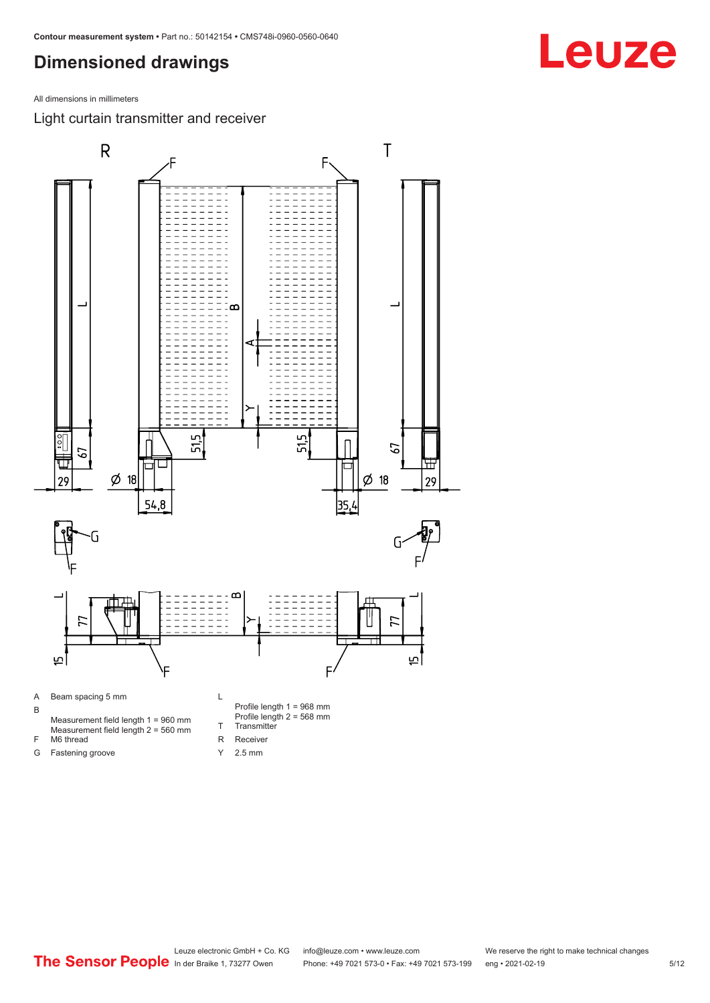### <span id="page-4-0"></span>**Dimensioned drawings**

All dimensions in millimeters

Light curtain transmitter and receiver

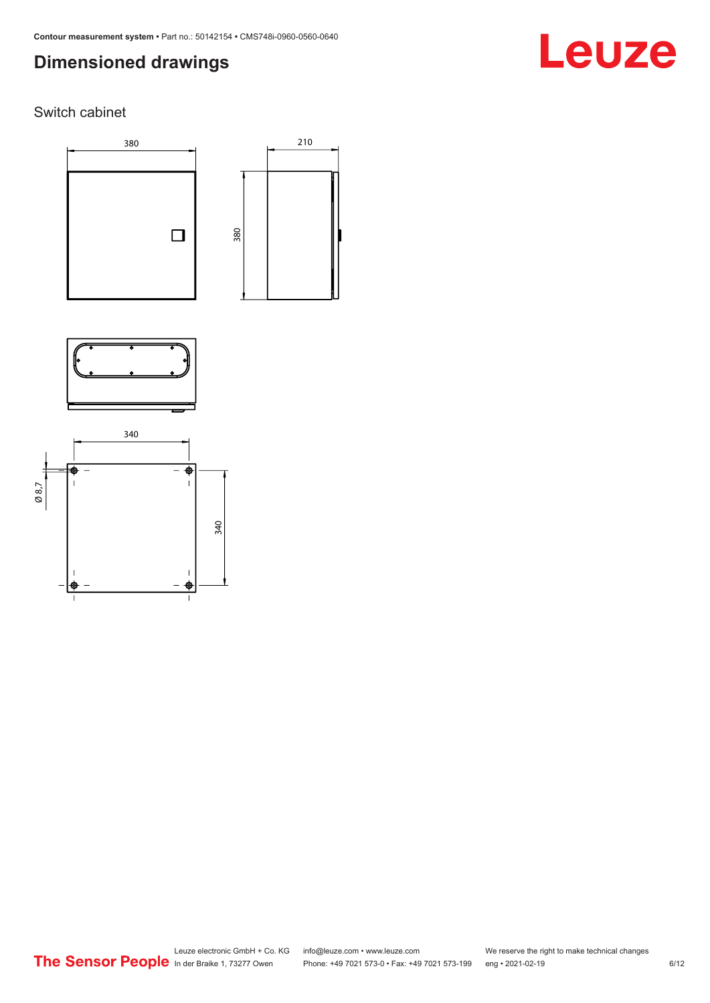# **Dimensioned drawings**

# Leuze

### Switch cabinet







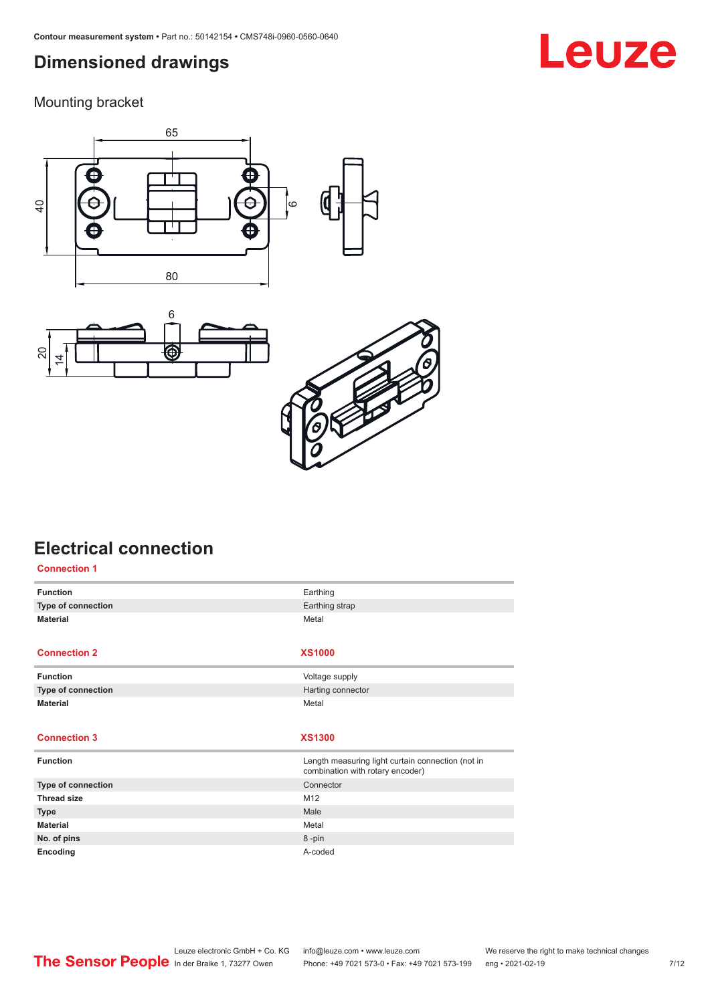## <span id="page-6-0"></span>**Dimensioned drawings**

Mounting bracket







# **Electrical connection**

| <b>Connection 1</b> |                                                                                       |
|---------------------|---------------------------------------------------------------------------------------|
| <b>Function</b>     | Earthing                                                                              |
| Type of connection  | Earthing strap                                                                        |
| <b>Material</b>     | Metal                                                                                 |
|                     |                                                                                       |
| <b>Connection 2</b> | <b>XS1000</b>                                                                         |
| <b>Function</b>     | Voltage supply                                                                        |
| Type of connection  | Harting connector                                                                     |
| <b>Material</b>     | Metal                                                                                 |
|                     |                                                                                       |
|                     |                                                                                       |
| <b>Connection 3</b> | <b>XS1300</b>                                                                         |
| <b>Function</b>     | Length measuring light curtain connection (not in<br>combination with rotary encoder) |
| Type of connection  | Connector                                                                             |
| <b>Thread size</b>  | M12                                                                                   |
| <b>Type</b>         | Male                                                                                  |
| <b>Material</b>     | Metal                                                                                 |
| No. of pins         | 8-pin                                                                                 |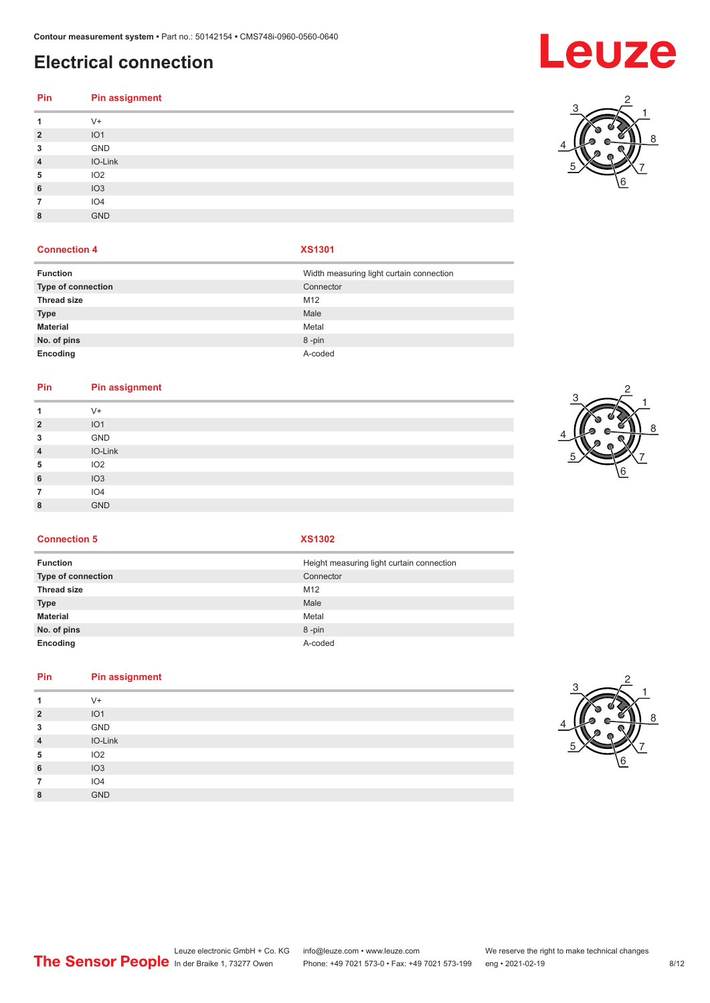# **Electrical connection**

# **Pin Pin assignment**

| 1              | $V +$           |
|----------------|-----------------|
| $\overline{2}$ | IO <sub>1</sub> |
| 3              | GND             |
| $\overline{4}$ | IO-Link         |
| 5              | IO <sub>2</sub> |
| 6              | IO3             |
| 7              | IO4             |
| 8              | <b>GND</b>      |
|                |                 |

#### **Connection 4 XS1301**

| <b>Function</b>    | Width measuring light curtain connection |
|--------------------|------------------------------------------|
| Type of connection | Connector                                |
| <b>Thread size</b> | M <sub>12</sub>                          |
| <b>Type</b>        | Male                                     |
| <b>Material</b>    | Metal                                    |
| No. of pins        | 8-pin                                    |
| Encoding           | A-coded                                  |

#### **Pin Pin assignment**

| V+<br>IO <sub>1</sub><br>$\overline{2}$<br>GND<br>3<br>IO-Link<br>$\overline{4}$<br>IO <sub>2</sub><br>5<br>IO3<br>6<br>IO4<br>7<br><b>GND</b><br>8 |  |
|-----------------------------------------------------------------------------------------------------------------------------------------------------|--|
|                                                                                                                                                     |  |
|                                                                                                                                                     |  |
|                                                                                                                                                     |  |
|                                                                                                                                                     |  |
|                                                                                                                                                     |  |
|                                                                                                                                                     |  |
|                                                                                                                                                     |  |
|                                                                                                                                                     |  |



**Connection 5 XS1302**

| <b>Function</b>    | Height measuring light curtain connection |
|--------------------|-------------------------------------------|
| Type of connection | Connector                                 |
| <b>Thread size</b> | M12                                       |
| <b>Type</b>        | Male                                      |
| <b>Material</b>    | Metal                                     |
| No. of pins        | 8-pin                                     |
| Encoding           | A-coded                                   |

### **Pin Pin assignment**

|                | $V +$           |
|----------------|-----------------|
| $\overline{2}$ | IO1             |
| 3              | GND             |
| $\overline{4}$ | IO-Link         |
| 5              | IO <sub>2</sub> |
| 6              | IO3             |
|                | IO <sub>4</sub> |
| 8              | <b>GND</b>      |
|                |                 |



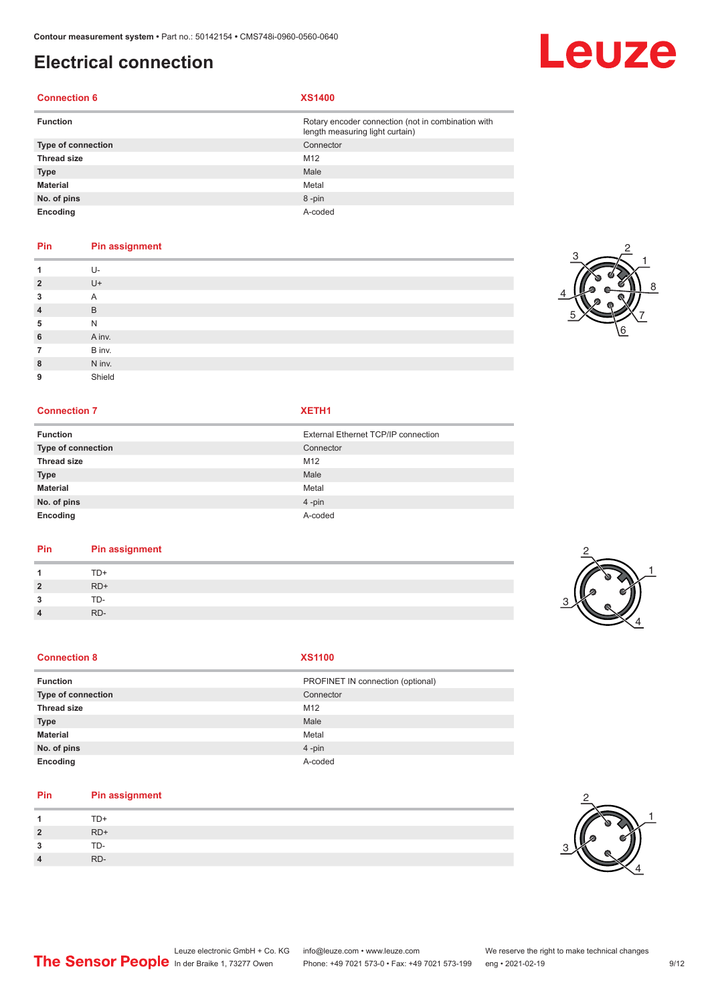# **Electrical connection**

#### **Connection 6 XS1400**

| <b>Function</b>    | Rotary encoder connection (not in combination with<br>length measuring light curtain) |
|--------------------|---------------------------------------------------------------------------------------|
| Type of connection | Connector                                                                             |
| <b>Thread size</b> | M <sub>12</sub>                                                                       |
| <b>Type</b>        | Male                                                                                  |
| <b>Material</b>    | Metal                                                                                 |
| No. of pins        | 8-pin                                                                                 |
| Encoding           | A-coded                                                                               |

#### **Pin Pin assignment**

|                | U-     |
|----------------|--------|
| $\overline{2}$ | U+     |
| 3              | A      |
| $\overline{4}$ | B      |
| 5              | N      |
| 6              | A inv. |
| 7              | B inv. |
| 8              | N inv. |
| 9              | Shield |

#### **Connection 7 XETH1**

| <b>Function</b>    | External Ethernet TCP/IP connection |
|--------------------|-------------------------------------|
| Type of connection | Connector                           |
| <b>Thread size</b> | M12                                 |
| <b>Type</b>        | Male                                |
| <b>Material</b>    | Metal                               |
| No. of pins        | $4 - pin$                           |
| Encoding           | A-coded                             |

#### **Pin Pin assignment**

|        | FD+        |   |
|--------|------------|---|
| ຳ<br>- | RD+        | ø |
|        | $TD-$<br>◡ |   |
|        | RD-        |   |

#### **Connection 8**

| ٠<br>۰. | ٠<br>٠ |
|---------|--------|

| <b>Function</b>    | PROFINET IN connection (optional) |
|--------------------|-----------------------------------|
|                    |                                   |
| Type of connection | Connector                         |
| <b>Thread size</b> | M <sub>12</sub>                   |
| <b>Type</b>        | Male                              |
| <b>Material</b>    | Metal                             |
| No. of pins        | $4$ -pin                          |
| Encoding           | A-coded                           |

#### **Pin Pin assignment**

|                | $TD+$ |
|----------------|-------|
| $\overline{2}$ | RD+   |
| 2              | TD-   |
| 4              | RD-   |



3

1 2



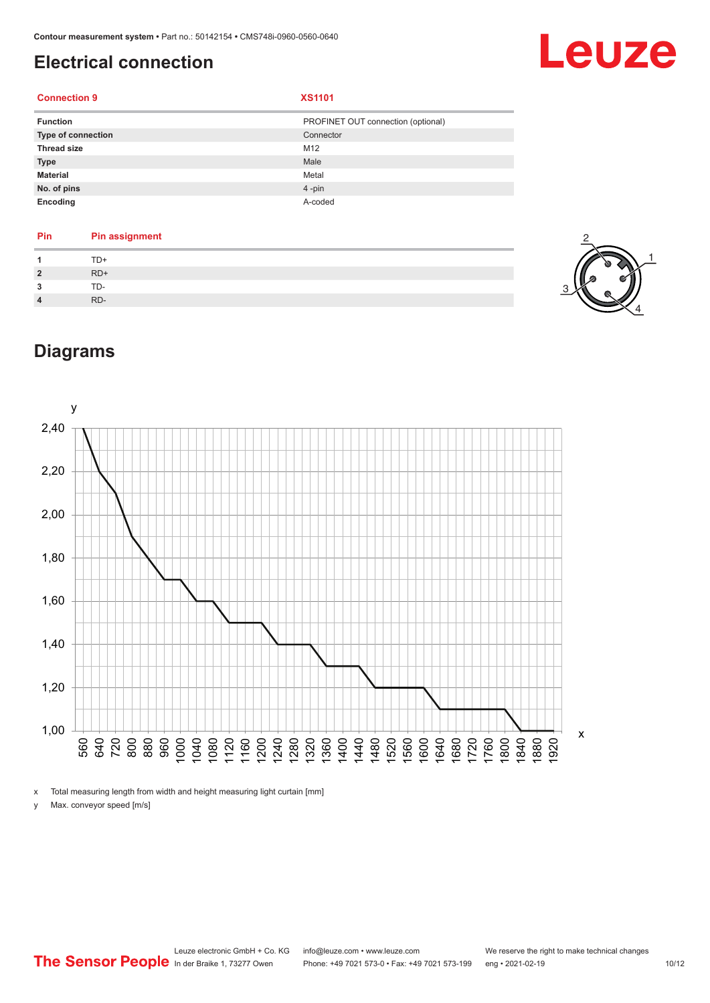# <span id="page-9-0"></span>**Electrical connection**

# Leuze

#### **Connection 9 XS1101**

| <b>Function</b>           | PROFINET OUT connection (optional) |
|---------------------------|------------------------------------|
| <b>Type of connection</b> | Connector                          |
| <b>Thread size</b>        | M12                                |
| <b>Type</b>               | Male                               |
| <b>Material</b>           | Metal                              |
| No. of pins               | $4$ -pin                           |
| Encoding                  | A-coded                            |

| Pin          | <b>Pin assignment</b> |
|--------------|-----------------------|
|              | TD+                   |
| $\mathbf{2}$ | $RD+$                 |
| 2            | TD-                   |
|              | RD-                   |



# **Diagrams**



x Total measuring length from width and height measuring light curtain [mm]

y Max. conveyor speed [m/s]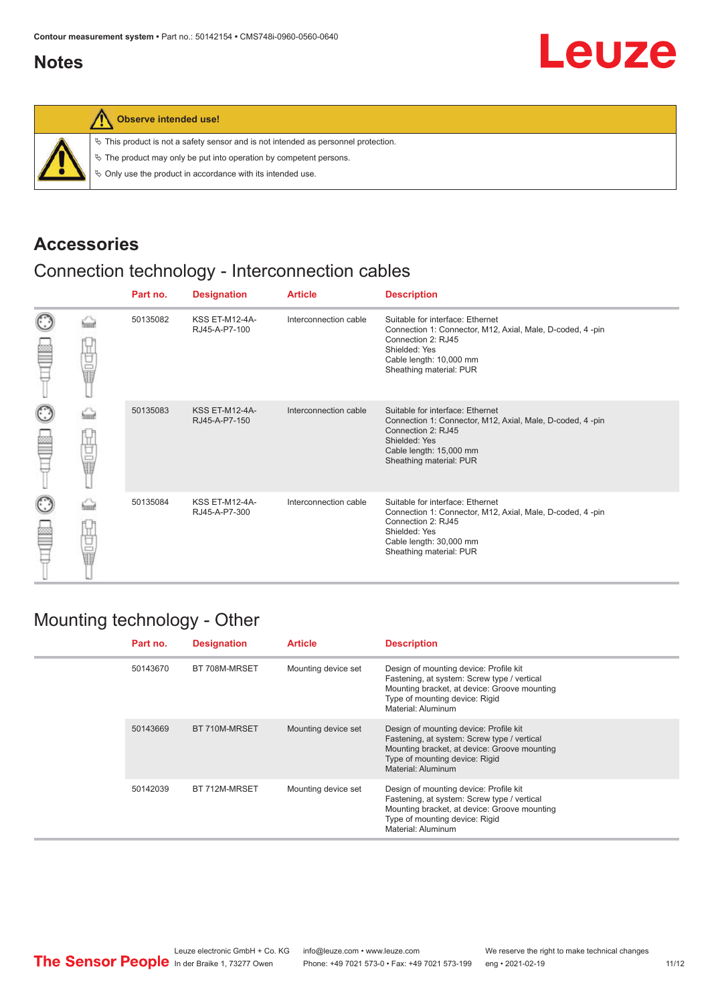### <span id="page-10-0"></span>**Notes**



#### **Observe intended use!**

|  |  |  |  |  | $\%$ This product is not a safety sensor and is not intended as personnel protection. |  |
|--|--|--|--|--|---------------------------------------------------------------------------------------|--|
|--|--|--|--|--|---------------------------------------------------------------------------------------|--|

 $\%$  The product may only be put into operation by competent persons.

 $\%$  Only use the product in accordance with its intended use.

### **Accessories**

# Connection technology - Interconnection cables

|                    |        | Part no. | <b>Designation</b>                     | <b>Article</b>        | <b>Description</b>                                                                                                                                                                         |
|--------------------|--------|----------|----------------------------------------|-----------------------|--------------------------------------------------------------------------------------------------------------------------------------------------------------------------------------------|
| $_{\odot}$<br>≌    | Ü<br>Ū | 50135082 | <b>KSS ET-M12-4A-</b><br>RJ45-A-P7-100 | Interconnection cable | Suitable for interface: Ethernet<br>Connection 1: Connector, M12, Axial, Male, D-coded, 4-pin<br>Connection 2: RJ45<br>Shielded: Yes<br>Cable length: 10,000 mm<br>Sheathing material: PUR |
| $_{\bigodot}$<br>≌ | 甘山     | 50135083 | <b>KSS ET-M12-4A-</b><br>RJ45-A-P7-150 | Interconnection cable | Suitable for interface: Ethernet<br>Connection 1: Connector, M12, Axial, Male, D-coded, 4-pin<br>Connection 2: RJ45<br>Shielded: Yes<br>Cable length: 15,000 mm<br>Sheathing material: PUR |
| O<br>Ê             | 甘量     | 50135084 | <b>KSS ET-M12-4A-</b><br>RJ45-A-P7-300 | Interconnection cable | Suitable for interface: Ethernet<br>Connection 1: Connector, M12, Axial, Male, D-coded, 4-pin<br>Connection 2: RJ45<br>Shielded: Yes<br>Cable length: 30,000 mm<br>Sheathing material: PUR |

### Mounting technology - Other

|  | Part no. | <b>Designation</b> | <b>Article</b>      | <b>Description</b>                                                                                                                                                                            |
|--|----------|--------------------|---------------------|-----------------------------------------------------------------------------------------------------------------------------------------------------------------------------------------------|
|  | 50143670 | BT 708M-MRSET      | Mounting device set | Design of mounting device: Profile kit<br>Fastening, at system: Screw type / vertical<br>Mounting bracket, at device: Groove mounting<br>Type of mounting device: Rigid<br>Material: Aluminum |
|  | 50143669 | BT 710M-MRSET      | Mounting device set | Design of mounting device: Profile kit<br>Fastening, at system: Screw type / vertical<br>Mounting bracket, at device: Groove mounting<br>Type of mounting device: Rigid<br>Material: Aluminum |
|  | 50142039 | BT 712M-MRSET      | Mounting device set | Design of mounting device: Profile kit<br>Fastening, at system: Screw type / vertical<br>Mounting bracket, at device: Groove mounting<br>Type of mounting device: Rigid<br>Material: Aluminum |